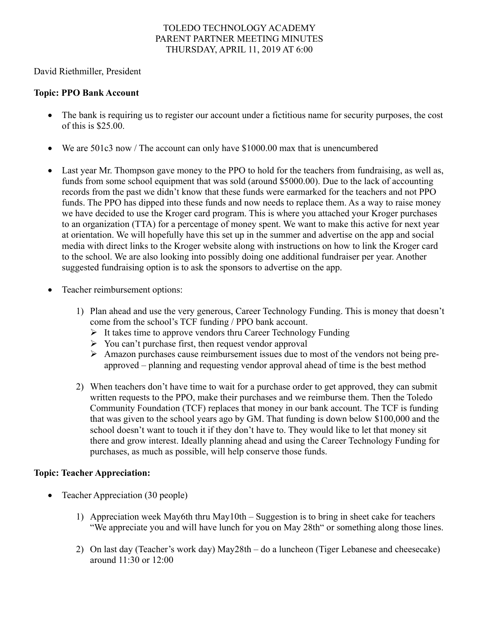#### TOLEDO TECHNOLOGY ACADEMY PARENT PARTNER MEETING MINUTES THURSDAY, APRIL 11, 2019 AT 6:00

David Riethmiller, President

### **Topic: PPO Bank Account**

- The bank is requiring us to register our account under a fictitious name for security purposes, the cost of this is \$25.00.
- We are 501c3 now / The account can only have \$1000.00 max that is unencumbered
- Last year Mr. Thompson gave money to the PPO to hold for the teachers from fundraising, as well as, funds from some school equipment that was sold (around \$5000.00). Due to the lack of accounting records from the past we didn't know that these funds were earmarked for the teachers and not PPO funds. The PPO has dipped into these funds and now needs to replace them. As a way to raise money we have decided to use the Kroger card program. This is where you attached your Kroger purchases to an organization (TTA) for a percentage of money spent. We want to make this active for next year at orientation. We will hopefully have this set up in the summer and advertise on the app and social media with direct links to the Kroger website along with instructions on how to link the Kroger card to the school. We are also looking into possibly doing one additional fundraiser per year. Another suggested fundraising option is to ask the sponsors to advertise on the app.
- Teacher reimbursement options:
	- 1) Plan ahead and use the very generous, Career Technology Funding. This is money that doesn't come from the school's TCF funding / PPO bank account.
		- $\triangleright$  It takes time to approve vendors thru Career Technology Funding
		- $\triangleright$  You can't purchase first, then request vendor approval
		- Ø Amazon purchases cause reimbursement issues due to most of the vendors not being preapproved – planning and requesting vendor approval ahead of time is the best method
	- 2) When teachers don't have time to wait for a purchase order to get approved, they can submit written requests to the PPO, make their purchases and we reimburse them. Then the Toledo Community Foundation (TCF) replaces that money in our bank account. The TCF is funding that was given to the school years ago by GM. That funding is down below \$100,000 and the school doesn't want to touch it if they don't have to. They would like to let that money sit there and grow interest. Ideally planning ahead and using the Career Technology Funding for purchases, as much as possible, will help conserve those funds.

# **Topic: Teacher Appreciation:**

- Teacher Appreciation (30 people)
	- 1) Appreciation week May6th thru May10th Suggestion is to bring in sheet cake for teachers "We appreciate you and will have lunch for you on May 28th" or something along those lines.
	- 2) On last day (Teacher's work day) May28th do a luncheon (Tiger Lebanese and cheesecake) around 11:30 or 12:00